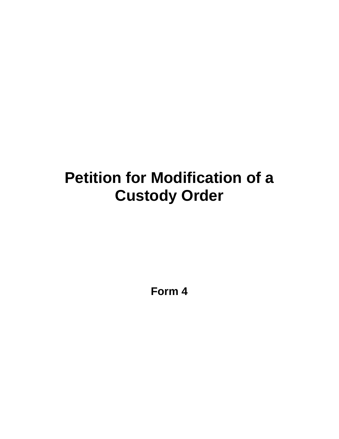## **Petition for Modification of a Custody Order**

**Form 4**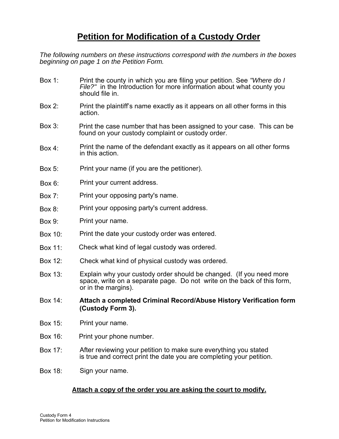## **Petition for Modification of a Custody Order**

*The following numbers on these instructions correspond with the numbers in the boxes beginning on page 1 on the Petition Form.* 

- Box 1: Print the county in which you are filing your petition. See *"Where do I File?"* in the Introduction for more information about what county you should file in.
- Box 2: Print the plaintiff's name exactly as it appears on all other forms in this action.
- Box 3: Print the case number that has been assigned to your case. This can be found on your custody complaint or custody order.
- Box 4: Print the name of the defendant exactly as it appears on all other forms in this action.
- Box 5: Print your name (if you are the petitioner).
- Print your current address. Box 6:
- Print your opposing party's name. Box 7:
- Print your opposing party's current address. Box 8:
- Print your name. Box 9:
- Box 10: Print the date your custody order was entered.
- Box 11: Check what kind of legal custody was ordered.
- Box 12: Check what kind of physical custody was ordered.
- Box 13: Explain why your custody order should be changed. (If you need more space, write on a separate page. Do not write on the back of this form, or in the margins).
- Box 14: **Attach a completed Criminal Record/Abuse History Verification form (Custody Form 3).**
- Box 15: Print your name.
- Box 16: Print your phone number.
- Box 17: After reviewing your petition to make sure everything you stated is true and correct print the date you are completing your petition.
- Box 18: Sign your name.

## **Attach a copy of the order you are asking the court to modify.**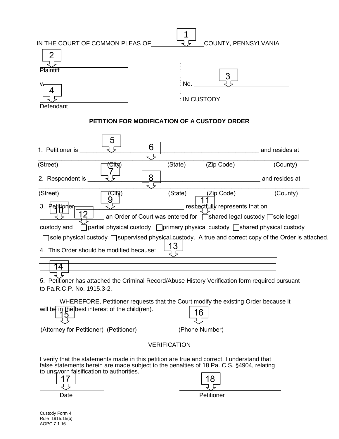| IN THE COURT OF COMMON PLEAS OF<br>$\overline{2}$<br>Plaintiff                                                                                                                                                                                   |         | COUNTY, PENNSYLVANIA                                                                                               |                |  |  |  |  |
|--------------------------------------------------------------------------------------------------------------------------------------------------------------------------------------------------------------------------------------------------|---------|--------------------------------------------------------------------------------------------------------------------|----------------|--|--|--|--|
| Defendant                                                                                                                                                                                                                                        | : No.   | : IN CUSTODY                                                                                                       |                |  |  |  |  |
| PETITION FOR MODIFICATION OF A CUSTODY ORDER                                                                                                                                                                                                     |         |                                                                                                                    |                |  |  |  |  |
| 5<br>1. Petitioner is                                                                                                                                                                                                                            | 6       |                                                                                                                    | and resides at |  |  |  |  |
| (Street)<br><del>City</del> )                                                                                                                                                                                                                    | (State) | (Zip Code)                                                                                                         | (County)       |  |  |  |  |
| 2. Respondent is                                                                                                                                                                                                                                 | 8       | and resides at                                                                                                     |                |  |  |  |  |
| (Street)<br>(City)                                                                                                                                                                                                                               | (State) | (Zip Code)                                                                                                         | (County)       |  |  |  |  |
| 3. Petitioner<br>] partial physical custody □ primary physical custody □ shared physical custody<br>custody and                                                                                                                                  |         | respectfully represents that on<br>an Order of Court was entered for <b>notat Schared legal custody</b> Sole legal |                |  |  |  |  |
| sole physical custody □ supervised physical custody. A true and correct copy of the Order is attached.<br>4. This Order should be modified because:                                                                                              | 13      |                                                                                                                    |                |  |  |  |  |
| 4<br>5. Petitioner has attached the Criminal Record/Abuse History Verification form required pursuant                                                                                                                                            |         |                                                                                                                    |                |  |  |  |  |
| to Pa.R.C.P. No. 1915.3-2.                                                                                                                                                                                                                       |         |                                                                                                                    |                |  |  |  |  |
| WHEREFORE, Petitioner requests that the Court modify the existing Order because it<br>will be in the best interest of the child(ren).                                                                                                            |         | 6                                                                                                                  |                |  |  |  |  |
| (Attorney for Petitioner) (Petitioner)                                                                                                                                                                                                           |         | (Phone Number)                                                                                                     |                |  |  |  |  |
| <b>VERIFICATION</b>                                                                                                                                                                                                                              |         |                                                                                                                    |                |  |  |  |  |
| I verify that the statements made in this petition are true and correct. I understand that<br>false statements herein are made subject to the penalties of 18 Pa. C.S. §4904, relating<br>to unsworn falsification to authorities.<br>17<br>Date |         | 18<br>Petitioner                                                                                                   |                |  |  |  |  |

Rule 1915.15(b) AOPC 7.1.16 Custody Form 4